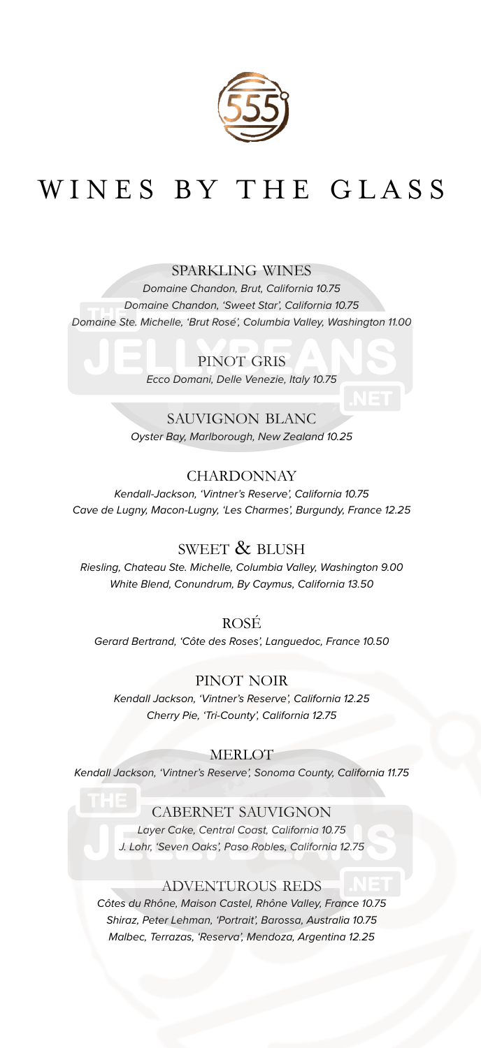

# WINES BY THE GLASS

#### sparkling wines

*Domaine Chandon, Brut, California 10.75 Domaine Chandon, 'Sweet Star', California 10.75 Domaine Ste. Michelle, 'Brut Rosé', Columbia Valley, Washington 11.00*

> PINOT GRIS *Ecco Domani, Delle Venezie, Italy 10.75*

sauvignon blanc *Oyster Bay, Marlborough, New Zealand 10.25*

#### **CHARDONNAY**

*Kendall-Jackson, 'Vintner's Reserve', California 10.75 Cave de Lugny, Macon-Lugny, 'Les Charmes', Burgundy, France 12.25*

#### SWEET & BLUSH

*Riesling, Chateau Ste. Michelle, Columbia Valley, Washington 9.00 White Blend, Conundrum, By Caymus, California 13.50*

rosé *Gerard Bertrand, 'Côte des Roses', Languedoc, France 10.50*

#### pinot noir

*Kendall Jackson, 'Vintner's Reserve', California 12.25 Cherry Pie, 'Tri-County', California 12.75*

**MERLOT** 

*Kendall Jackson, 'Vintner's Reserve', Sonoma County, California 11.75*

#### cabernet sauvignon

*Layer Cake, Central Coast, California 10.75 J. Lohr, 'Seven Oaks', Paso Robles, California 12.75*

#### adventurous reds

*Côtes du Rhône, Maison Castel, Rhône Valley, France 10.75 Shiraz, Peter Lehman, 'Portrait', Barossa, Australia 10.75 Malbec, Terrazas, 'Reserva', Mendoza, Argentina 12.25*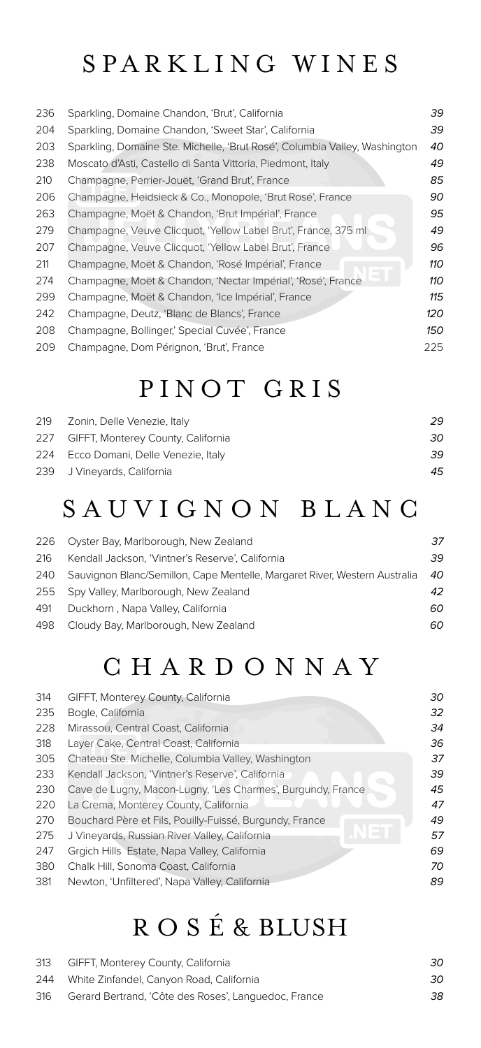### SPARKLING WINES

| 236 | Sparkling, Domaine Chandon, 'Brut', California                             | 39  |
|-----|----------------------------------------------------------------------------|-----|
| 204 | Sparkling, Domaine Chandon, 'Sweet Star', California                       | 39  |
| 203 | Sparkling, Domaine Ste. Michelle, 'Brut Rosé', Columbia Valley, Washington | 40  |
| 238 | Moscato d'Asti, Castello di Santa Vittoria, Piedmont, Italy                | 49  |
| 210 | Champagne, Perrier-Jouët, 'Grand Brut', France                             | 85  |
| 206 | Champagne, Heidsieck & Co., Monopole, 'Brut Rosé', France                  | 90  |
| 263 | Champagne, Moët & Chandon, 'Brut Impérial', France                         | 95  |
| 279 | Champagne, Veuve Clicquot, 'Yellow Label Brut', France, 375 ml             | 49  |
| 207 | Champagne, Veuve Clicquot, 'Yellow Label Brut', France                     | 96  |
| 211 | Champagne, Moët & Chandon, 'Rosé Impérial', France                         | 110 |
| 274 | Champagne, Moët & Chandon, 'Nectar Impérial', 'Rosé', France               | 110 |
| 299 | Champagne, Moët & Chandon, 'Ice Impérial', France                          | 115 |
| 242 | Champagne, Deutz, 'Blanc de Blancs', France                                | 120 |
| 208 | Champagne, Bollinger,' Special Cuvée', France                              | 150 |
| 209 | Champagne, Dom Pérignon, 'Brut', France                                    | 225 |

### PINOT GRIS

| 29                                                                                                                                                |
|---------------------------------------------------------------------------------------------------------------------------------------------------|
| 30                                                                                                                                                |
| 39                                                                                                                                                |
| 45                                                                                                                                                |
| 219 Zonin, Delle Venezie, Italy<br>227 GIFFT, Monterey County, California<br>224 Ecco Domani, Delle Venezie, Italy<br>239 J Vineyards, California |

### S A U V I G N O N B L A N C

| 226 | Oyster Bay, Marlborough, New Zealand                                       | 37 |
|-----|----------------------------------------------------------------------------|----|
| 216 | Kendall Jackson, 'Vintner's Reserve', California                           | 39 |
| 240 | Sauvignon Blanc/Semillon, Cape Mentelle, Margaret River, Western Australia | 40 |
|     | 255 Spy Valley, Marlborough, New Zealand                                   | 42 |
| 491 | Duckhorn, Napa Valley, California                                          | 60 |
| 498 | Cloudy Bay, Marlborough, New Zealand                                       | 60 |

# C H A R D O N N A Y

| 314 | GIFFT, Monterey County, California                          | 30 |
|-----|-------------------------------------------------------------|----|
| 235 | Bogle, California                                           | 32 |
| 228 | Mirassou, Central Coast, California                         | 34 |
| 318 | Layer Cake, Central Coast, California                       | 36 |
| 305 | Chateau Ste. Michelle, Columbia Valley, Washington          | 37 |
| 233 | Kendall Jackson, 'Vintner's Reserve', California            | 39 |
| 230 | Cave de Lugny, Macon-Lugny, 'Les Charmes', Burgundy, France | 45 |
| 220 | La Crema, Monterey County, California                       | 47 |
| 270 | Bouchard Père et Fils, Pouilly-Fuissé, Burgundy, France     | 49 |
| 275 | J Vineyards, Russian River Valley, California               | 57 |
| 247 | Grgich Hills Estate, Napa Valley, California                | 69 |
| 380 | Chalk Hill, Sonoma Coast, California                        | 70 |
| 381 | Newton, 'Unfiltered', Napa Valley, California               | 89 |
|     |                                                             |    |

# R O S É & BLUSH

| 313 | GIFFT, Monterey County, California                   | 30 |
|-----|------------------------------------------------------|----|
|     | 244 White Zinfandel, Canyon Road, California         | 30 |
| 316 | Gerard Bertrand, 'Côte des Roses', Languedoc, France | 38 |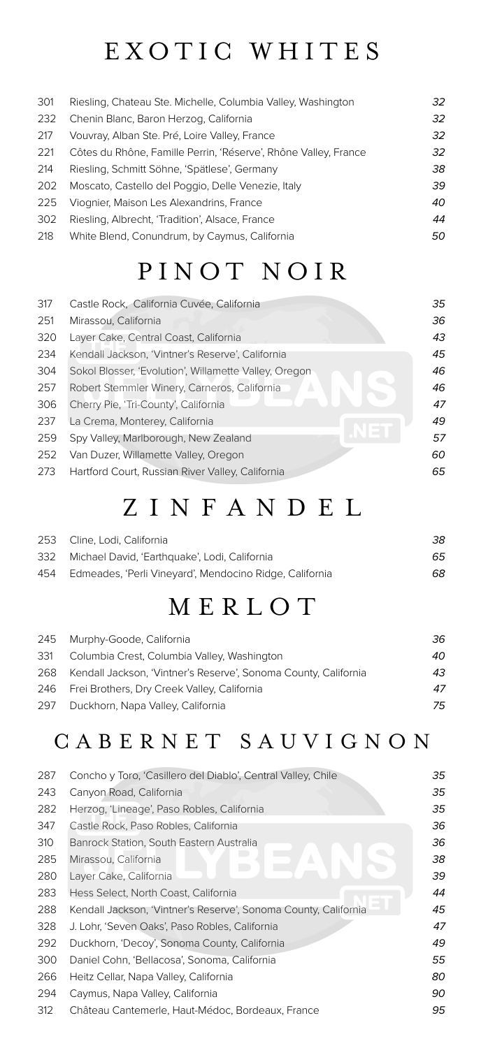#### EXOTIC WHITES

301 Riesling, Chateau Ste. Michelle, Columbia Valley, Washington *32* 232 Chenin Blanc, Baron Herzog, California *32* 217 Vouvray, Alban Ste. Pré, Loire Valley, France *32* 221 Côtes du Rhône, Famille Perrin, 'Réserve', Rhône Valley, France *32* 214 Riesling, Schmitt Söhne, 'Spätlese', Germany *38* 202 Moscato, Castello del Poggio, Delle Venezie, Italy *39* 225 Viognier, Maison Les Alexandrins, France *40* 302 Riesling, Albrecht, 'Tradition', Alsace, France *44* 218 White Blend, Conundrum, by Caymus, California *50*

#### PINOT NOIR

| 317 | Castle Rock, California Cuvée, California             | 35 |
|-----|-------------------------------------------------------|----|
| 251 | Mirassou, California                                  | 36 |
| 320 | Layer Cake, Central Coast, California                 | 43 |
| 234 | Kendall Jackson, 'Vintner's Reserve', California      | 45 |
| 304 | Sokol Blosser, 'Evolution', Willamette Valley, Oregon | 46 |
| 257 | Robert Stemmler Winery, Carneros, California          | 46 |
| 306 | Cherry Pie, 'Tri-County', California                  | 47 |
| 237 | La Crema, Monterey, California                        | 49 |
| 259 | Spy Valley, Marlborough, New Zealand                  | 57 |
| 252 | Van Duzer, Willamette Valley, Oregon                  | 60 |
| 273 | Hartford Court, Russian River Valley, California      | 65 |

#### Z I N F A N D E L

| 253 Cline, Lodi, California                                 | 38 |
|-------------------------------------------------------------|----|
| 332 Michael David, 'Earthquake', Lodi, California           | 65 |
| 454 Edmeades, 'Perli Vineyard', Mendocino Ridge, California | 68 |

# M E R L O T

|     | 245 Murphy-Goode, California                                    | 36 |
|-----|-----------------------------------------------------------------|----|
| 331 | Columbia Crest, Columbia Valley, Washington                     | 40 |
| 268 | Kendall Jackson, 'Vintner's Reserve', Sonoma County, California | 43 |
|     | 246 Frei Brothers, Dry Creek Valley, California                 | 47 |
|     | 297 Duckhorn, Napa Valley, California                           | 75 |
|     |                                                                 |    |

#### C A B E R N E T S A U V I G N O N

| 287 | Concho y Toro, 'Casillero del Diablo', Central Valley, Chile    | 35 |
|-----|-----------------------------------------------------------------|----|
| 243 | Canyon Road, California                                         | 35 |
| 282 | Herzog, 'Lineage', Paso Robles, California                      | 35 |
| 347 | Castle Rock, Paso Robles, California                            | 36 |
| 310 | Banrock Station, South Eastern Australia                        | 36 |
| 285 | Mirassou, California                                            | 38 |
| 280 | Layer Cake, California                                          | 39 |
| 283 | Hess Select, North Coast, California                            | 44 |
| 288 | Kendall Jackson, 'Vintner's Reserve', Sonoma County, California | 45 |
| 328 | J. Lohr, 'Seven Oaks', Paso Robles, California                  | 47 |
| 292 | Duckhorn, 'Decoy', Sonoma County, California                    | 49 |
| 300 | Daniel Cohn, 'Bellacosa', Sonoma, California                    | 55 |
| 266 | Heitz Cellar, Napa Valley, California                           | 80 |
| 294 | Caymus, Napa Valley, California                                 | 90 |
| 312 | Château Cantemerle, Haut-Médoc, Bordeaux, France                | 95 |
|     |                                                                 |    |